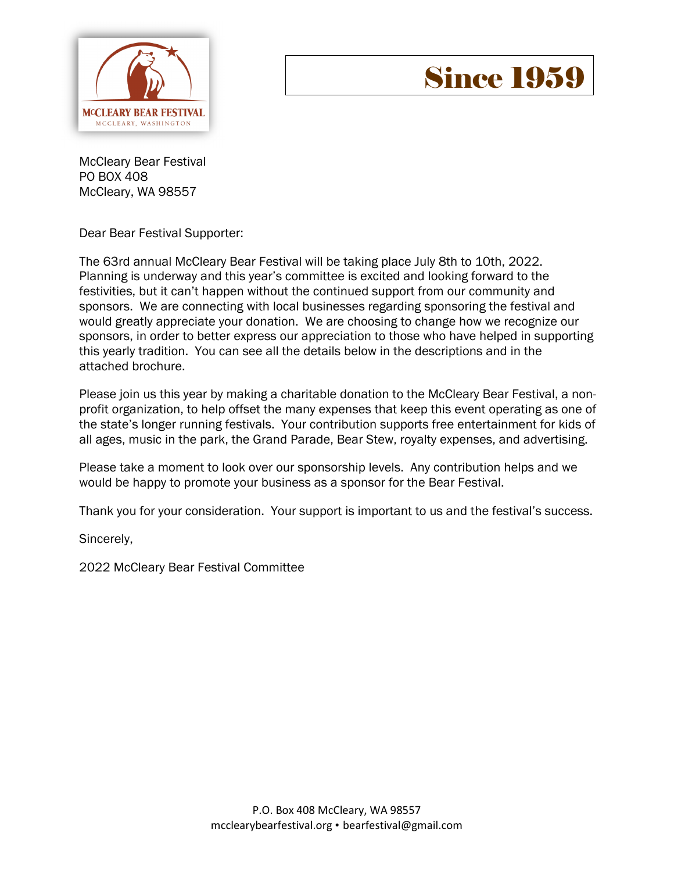

# **Since 1959**

McCleary Bear Festival PO BOX 408 McCleary, WA 98557

Dear Bear Festival Supporter:

The 63rd annual McCleary Bear Festival will be taking place July 8th to 10th, 2022. Planning is underway and this year's committee is excited and looking forward to the festivities, but it can't happen without the continued support from our community and sponsors. We are connecting with local businesses regarding sponsoring the festival and would greatly appreciate your donation. We are choosing to change how we recognize our sponsors, in order to better express our appreciation to those who have helped in supporting this yearly tradition. You can see all the details below in the descriptions and in the attached brochure.

Please join us this year by making a charitable donation to the McCleary Bear Festival, a nonprofit organization, to help offset the many expenses that keep this event operating as one of the state's longer running festivals. Your contribution supports free entertainment for kids of all ages, music in the park, the Grand Parade, Bear Stew, royalty expenses, and advertising.

Please take a moment to look over our sponsorship levels. Any contribution helps and we would be happy to promote your business as a sponsor for the Bear Festival.

Thank you for your consideration. Your support is important to us and the festival's success.

Sincerely,

2022 McCleary Bear Festival Committee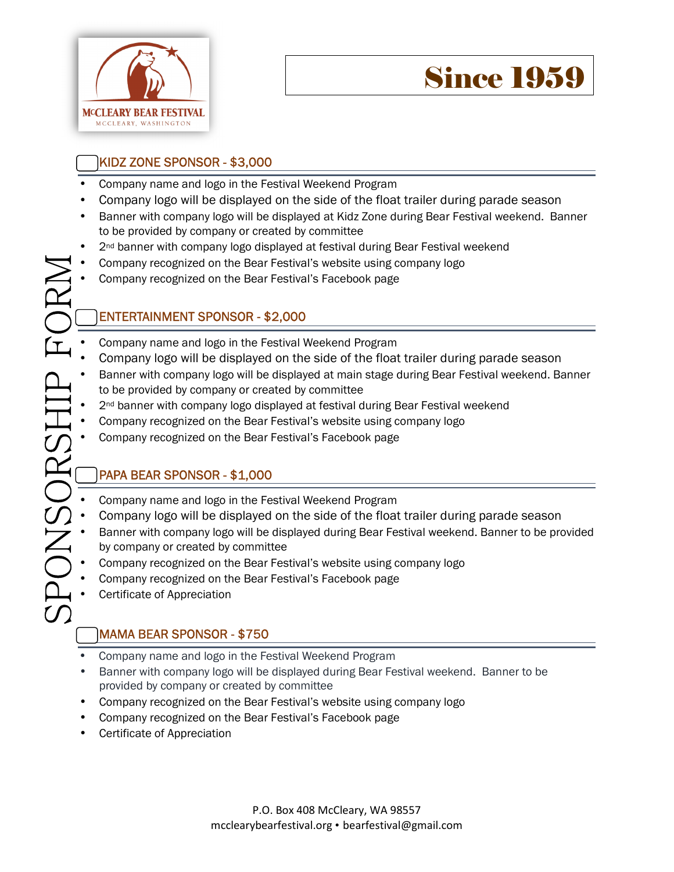

# KIDZ ZONE SPONSOR - \$3,000

- Company name and logo in the Festival Weekend Program
- Company logo will be displayed on the side of the float trailer during parade season
- Banner with company logo will be displayed at Kidz Zone during Bear Festival weekend. Banner to be provided by company or created by committee
- 2<sup>nd</sup> banner with company logo displayed at festival during Bear Festival weekend
- $\sum_i$ • Company recognized on the Bear Festival's website using company logo
	- Company recognized on the Bear Festival's Facebook page

## ENTERTAINMENT SPONSOR - \$2,000

- Company name and logo in the Festival Weekend Program
- Company logo will be displayed on the side of the float trailer during parade season
- E :<br>A : • Banner with company logo will be displayed at main stage during Bear Festival weekend. Banner to be provided by company or created by committee
	- 2<sup>nd</sup> banner with company logo displayed at festival during Bear Festival weekend
	- Company recognized on the Bear Festival's website using company logo
	- Company recognized on the Bear Festival's Facebook page

## PAPA BEAR SPONSOR - \$1,000

- Company name and logo in the Festival Weekend Program
- Company logo will be displayed on the side of the float trailer during parade season
- Banner with company logo will be displayed during Bear Festival weekend. Banner to be provided by company or created by committee
- Company recognized on the Bear Festival's website using company logo
- Company recognized on the Bear Festival's Facebook page
- Certificate of Appreciation

 $\mathcal{O}$ 

 $\Box$ 

 $\bigcirc$ 

 $\boldsymbol{\mathsf{Z}}$ 

 $\mathcal{O}$ 

 $\bigcirc$ 

 $\mathbb R$ 

 $\mathcal{S}$ 

 $\mathbb H$ 

 $\overline{\phantom{0}}$ 

 $\bigcirc$ 

 $\mathbb R$ 

# MAMA BEAR SPONSOR - \$750

- Company name and logo in the Festival Weekend Program
- Banner with company logo will be displayed during Bear Festival weekend. Banner to be provided by company or created by committee
- Company recognized on the Bear Festival's website using company logo
- Company recognized on the Bear Festival's Facebook page
- Certificate of Appreciation